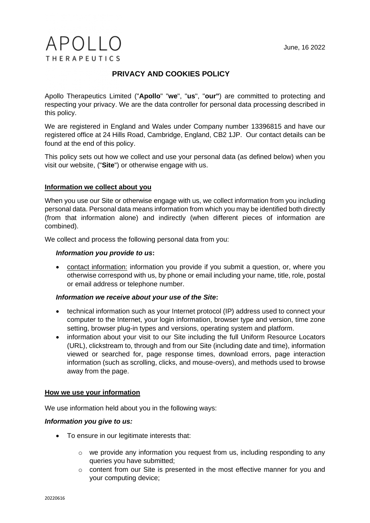# $APOIIO$ **THERAPEUTICS**

# **PRIVACY AND COOKIES POLICY**

Apollo Therapeutics Limited ("**Apollo**" "**we**", "**us**", "**our"**) are committed to protecting and respecting your privacy. We are the data controller for personal data processing described in this policy.

We are registered in England and Wales under Company number 13396815 and have our registered office at 24 Hills Road, Cambridge, England, CB2 1JP. Our contact details can be found at the end of this policy.

This policy sets out how we collect and use your personal data (as defined below) when you visit our website, ("**Site**") or otherwise engage with us.

# **Information we collect about you**

When you use our Site or otherwise engage with us, we collect information from you including personal data. Personal data means information from which you may be identified both directly (from that information alone) and indirectly (when different pieces of information are combined).

We collect and process the following personal data from you:

# *Information you provide to us***:**

• contact information: information you provide if you submit a question, or, where you otherwise correspond with us, by phone or email including your name, title, role, postal or email address or telephone number.

# *Information we receive about your use of the Site***:**

- technical information such as your Internet protocol (IP) address used to connect your computer to the Internet, your login information, browser type and version, time zone setting, browser plug-in types and versions, operating system and platform.
- information about your visit to our Site including the full Uniform Resource Locators (URL), clickstream to, through and from our Site (including date and time), information viewed or searched for, page response times, download errors, page interaction information (such as scrolling, clicks, and mouse-overs), and methods used to browse away from the page.

# **How we use your information**

We use information held about you in the following ways:

# *Information you give to us:*

- To ensure in our legitimate interests that:
	- $\circ$  we provide any information you request from us, including responding to any queries you have submitted;
	- o content from our Site is presented in the most effective manner for you and your computing device;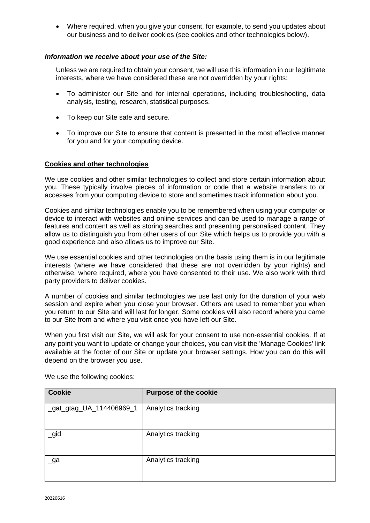• Where required, when you give your consent, for example, to send you updates about our business and to deliver cookies (see cookies and other technologies below).

# *Information we receive about your use of the Site:*

Unless we are required to obtain your consent, we will use this information in our legitimate interests, where we have considered these are not overridden by your rights:

- To administer our Site and for internal operations, including troubleshooting, data analysis, testing, research, statistical purposes.
- To keep our Site safe and secure.
- To improve our Site to ensure that content is presented in the most effective manner for you and for your computing device.

#### **Cookies and other technologies**

We use cookies and other similar technologies to collect and store certain information about you. These typically involve pieces of information or code that a website transfers to or accesses from your computing device to store and sometimes track information about you.

Cookies and similar technologies enable you to be remembered when using your computer or device to interact with websites and online services and can be used to manage a range of features and content as well as storing searches and presenting personalised content. They allow us to distinguish you from other users of our Site which helps us to provide you with a good experience and also allows us to improve our Site.

We use essential cookies and other technologies on the basis using them is in our legitimate interests (where we have considered that these are not overridden by your rights) and otherwise, where required, where you have consented to their use. We also work with third party providers to deliver cookies.

A number of cookies and similar technologies we use last only for the duration of your web session and expire when you close your browser. Others are used to remember you when you return to our Site and will last for longer. Some cookies will also record where you came to our Site from and where you visit once you have left our Site.

When you first visit our Site, we will ask for your consent to use non-essential cookies. If at any point you want to update or change your choices, you can visit the 'Manage Cookies' link available at the footer of our Site or update your browser settings. How you can do this will depend on the browser you use.

| <b>Cookie</b>               | <b>Purpose of the cookie</b> |
|-----------------------------|------------------------------|
| _gat_gtag_UA_114406969_1    | Analytics tracking           |
| $\equiv$ gid                | Analytics tracking           |
| $\overline{\phantom{a}}$ ga | Analytics tracking           |

We use the following cookies: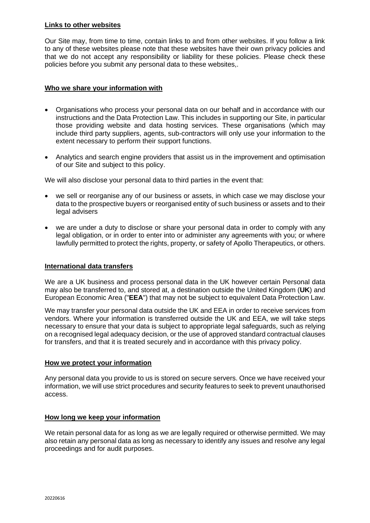#### **Links to other websites**

Our Site may, from time to time, contain links to and from other websites. If you follow a link to any of these websites please note that these websites have their own privacy policies and that we do not accept any responsibility or liability for these policies. Please check these policies before you submit any personal data to these websites,.

# **Who we share your information with**

- Organisations who process your personal data on our behalf and in accordance with our instructions and the Data Protection Law. This includes in supporting our Site, in particular those providing website and data hosting services. These organisations (which may include third party suppliers, agents, sub-contractors will only use your information to the extent necessary to perform their support functions.
- Analytics and search engine providers that assist us in the improvement and optimisation of our Site and subject to this policy.

We will also disclose your personal data to third parties in the event that:

- we sell or reorganise any of our business or assets, in which case we may disclose your data to the prospective buyers or reorganised entity of such business or assets and to their legal advisers
- we are under a duty to disclose or share your personal data in order to comply with any legal obligation, or in order to enter into or administer any agreements with you; or where lawfully permitted to protect the rights, property, or safety of Apollo Therapeutics, or others.

#### **International data transfers**

We are a UK business and process personal data in the UK however certain Personal data may also be transferred to, and stored at, a destination outside the United Kingdom (**UK**) and European Economic Area ("**EEA**") that may not be subject to equivalent Data Protection Law.

We may transfer your personal data outside the UK and EEA in order to receive services from vendors. Where your information is transferred outside the UK and EEA, we will take steps necessary to ensure that your data is subject to appropriate legal safeguards, such as relying on a recognised legal adequacy decision, or the use of approved standard contractual clauses for transfers, and that it is treated securely and in accordance with this privacy policy.

#### **How we protect your information**

Any personal data you provide to us is stored on secure servers. Once we have received your information, we will use strict procedures and security features to seek to prevent unauthorised access.

#### **How long we keep your information**

We retain personal data for as long as we are legally required or otherwise permitted. We may also retain any personal data as long as necessary to identify any issues and resolve any legal proceedings and for audit purposes.